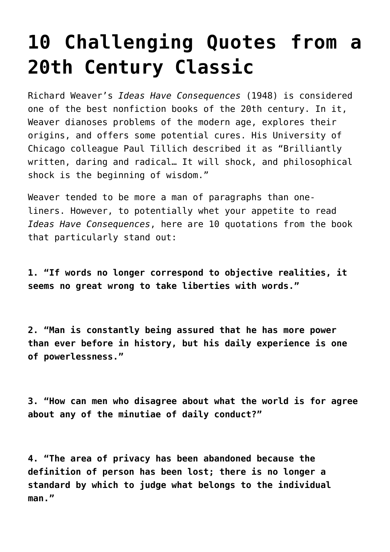## **[10 Challenging Quotes from a](https://intellectualtakeout.org/2015/10/10-challenging-quotes-from-a-20th-century-classic/) [20th Century Classic](https://intellectualtakeout.org/2015/10/10-challenging-quotes-from-a-20th-century-classic/)**

Richard Weaver's *Ideas Have Consequences* (1948) is considered one of the best nonfiction books of the 20th century. In it, Weaver dianoses problems of the modern age, explores their origins, and offers some potential cures. His University of Chicago colleague Paul Tillich described it as "Brilliantly written, daring and radical… It will shock, and philosophical shock is the beginning of wisdom."

Weaver tended to be more a man of paragraphs than oneliners. However, to potentially whet your appetite to read *Ideas Have Consequences*, here are 10 quotations from the book that particularly stand out:

**1. "If words no longer correspond to objective realities, it seems no great wrong to take liberties with words."**

**2. "Man is constantly being assured that he has more power than ever before in history, but his daily experience is one of powerlessness."**

**3. "How can men who disagree about what the world is for agree about any of the minutiae of daily conduct?"**

**4. "The area of privacy has been abandoned because the definition of person has been lost; there is no longer a standard by which to judge what belongs to the individual man."**